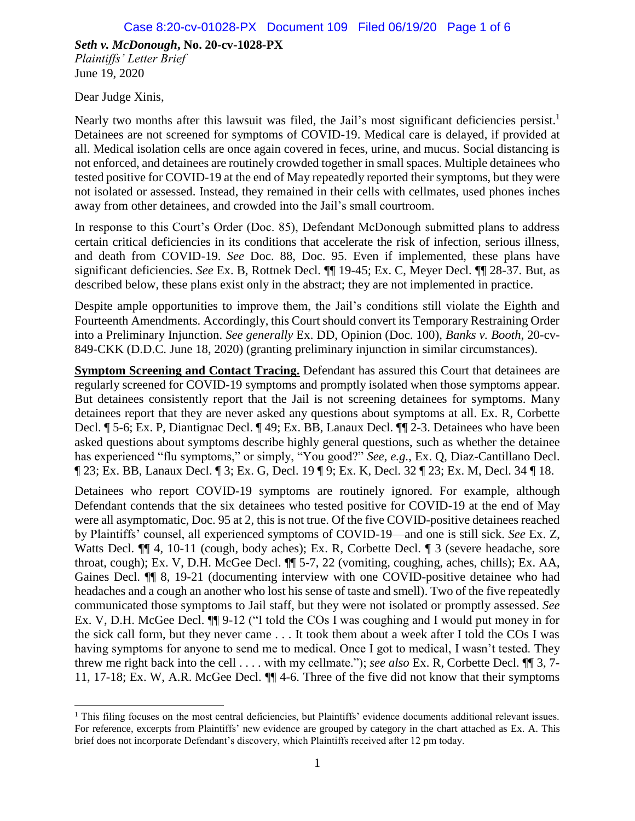Dear Judge Xinis,

Nearly two months after this lawsuit was filed, the Jail's most significant deficiencies persist.<sup>1</sup> Detainees are not screened for symptoms of COVID-19. Medical care is delayed, if provided at all. Medical isolation cells are once again covered in feces, urine, and mucus. Social distancing is not enforced, and detainees are routinely crowded together in small spaces. Multiple detainees who tested positive for COVID-19 at the end of May repeatedly reported their symptoms, but they were not isolated or assessed. Instead, they remained in their cells with cellmates, used phones inches away from other detainees, and crowded into the Jail's small courtroom.

In response to this Court's Order (Doc. 85), Defendant McDonough submitted plans to address certain critical deficiencies in its conditions that accelerate the risk of infection, serious illness, and death from COVID-19. *See* Doc. 88, Doc. 95. Even if implemented, these plans have significant deficiencies. *See* Ex. B, Rottnek Decl. ¶¶ 19-45; Ex. C, Meyer Decl. ¶¶ 28-37. But, as described below, these plans exist only in the abstract; they are not implemented in practice.

Despite ample opportunities to improve them, the Jail's conditions still violate the Eighth and Fourteenth Amendments. Accordingly, this Court should convert its Temporary Restraining Order into a Preliminary Injunction. *See generally* Ex. DD, Opinion (Doc. 100), *Banks v. Booth*, 20-cv-849-CKK (D.D.C. June 18, 2020) (granting preliminary injunction in similar circumstances).

**Symptom Screening and Contact Tracing.** Defendant has assured this Court that detainees are regularly screened for COVID-19 symptoms and promptly isolated when those symptoms appear. But detainees consistently report that the Jail is not screening detainees for symptoms. Many detainees report that they are never asked any questions about symptoms at all. Ex. R, Corbette Decl. ¶ 5-6; Ex. P, Diantignac Decl. ¶ 49; Ex. BB, Lanaux Decl. ¶¶ 2-3. Detainees who have been asked questions about symptoms describe highly general questions, such as whether the detainee has experienced "flu symptoms," or simply, "You good?" *See, e.g.*, Ex. Q, Diaz-Cantillano Decl. ¶ 23; Ex. BB, Lanaux Decl. ¶ 3; Ex. G, Decl. 19 ¶ 9; Ex. K, Decl. 32 ¶ 23; Ex. M, Decl. 34 ¶ 18.

Detainees who report COVID-19 symptoms are routinely ignored. For example, although Defendant contends that the six detainees who tested positive for COVID-19 at the end of May were all asymptomatic, Doc. 95 at 2, this is not true. Of the five COVID-positive detainees reached by Plaintiffs' counsel, all experienced symptoms of COVID-19—and one is still sick. *See* Ex. Z, Watts Decl.  $\P$  4, 10-11 (cough, body aches); Ex. R, Corbette Decl.  $\P$  3 (severe headache, sore throat, cough); Ex. V, D.H. McGee Decl. ¶¶ 5-7, 22 (vomiting, coughing, aches, chills); Ex. AA, Gaines Decl. ¶¶ 8, 19-21 (documenting interview with one COVID-positive detainee who had headaches and a cough an another who lost his sense of taste and smell). Two of the five repeatedly communicated those symptoms to Jail staff, but they were not isolated or promptly assessed. *See*  Ex. V, D.H. McGee Decl. ¶¶ 9-12 ("I told the COs I was coughing and I would put money in for the sick call form, but they never came . . . It took them about a week after I told the COs I was having symptoms for anyone to send me to medical. Once I got to medical, I wasn't tested. They threw me right back into the cell . . . . with my cellmate."); *see also* Ex. R, Corbette Decl. ¶¶ 3, 7- 11, 17-18; Ex. W, A.R. McGee Decl. ¶¶ 4-6. Three of the five did not know that their symptoms

 $\overline{\phantom{a}}$  $<sup>1</sup>$  This filing focuses on the most central deficiencies, but Plaintiffs' evidence documents additional relevant issues.</sup> For reference, excerpts from Plaintiffs' new evidence are grouped by category in the chart attached as Ex. A. This brief does not incorporate Defendant's discovery, which Plaintiffs received after 12 pm today.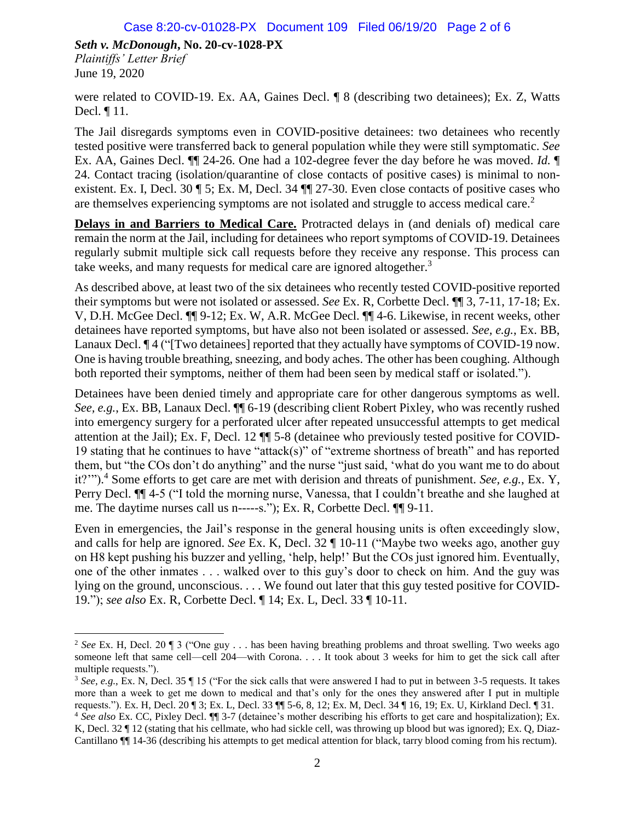$\overline{\phantom{a}}$ 

were related to COVID-19. Ex. AA, Gaines Decl. ¶ 8 (describing two detainees); Ex. Z, Watts Decl. ¶ 11.

The Jail disregards symptoms even in COVID-positive detainees: two detainees who recently tested positive were transferred back to general population while they were still symptomatic. *See*  Ex. AA, Gaines Decl. ¶¶ 24-26. One had a 102-degree fever the day before he was moved. *Id.* ¶ 24. Contact tracing (isolation/quarantine of close contacts of positive cases) is minimal to nonexistent. Ex. I, Decl. 30 ¶ 5; Ex. M, Decl. 34 ¶¶ 27-30. Even close contacts of positive cases who are themselves experiencing symptoms are not isolated and struggle to access medical care.<sup>2</sup>

**Delays in and Barriers to Medical Care.** Protracted delays in (and denials of) medical care remain the norm at the Jail, including for detainees who report symptoms of COVID-19. Detainees regularly submit multiple sick call requests before they receive any response. This process can take weeks, and many requests for medical care are ignored altogether.<sup>3</sup>

As described above, at least two of the six detainees who recently tested COVID-positive reported their symptoms but were not isolated or assessed. *See* Ex. R, Corbette Decl. ¶¶ 3, 7-11, 17-18; Ex. V, D.H. McGee Decl. ¶¶ 9-12; Ex. W, A.R. McGee Decl. ¶¶ 4-6. Likewise, in recent weeks, other detainees have reported symptoms, but have also not been isolated or assessed. *See, e.g.*, Ex. BB, Lanaux Decl.  $\P$  4 ("[Two detainees] reported that they actually have symptoms of COVID-19 now. One is having trouble breathing, sneezing, and body aches. The other has been coughing. Although both reported their symptoms, neither of them had been seen by medical staff or isolated.").

Detainees have been denied timely and appropriate care for other dangerous symptoms as well. *See, e.g.*, Ex. BB, Lanaux Decl. ¶¶ 6-19 (describing client Robert Pixley, who was recently rushed into emergency surgery for a perforated ulcer after repeated unsuccessful attempts to get medical attention at the Jail); Ex. F, Decl. 12 ¶¶ 5-8 (detainee who previously tested positive for COVID-19 stating that he continues to have "attack(s)" of "extreme shortness of breath" and has reported them, but "the COs don't do anything" and the nurse "just said, 'what do you want me to do about it?'"). <sup>4</sup> Some efforts to get care are met with derision and threats of punishment. *See, e.g.*, Ex. Y, Perry Decl. ¶¶ 4-5 ("I told the morning nurse, Vanessa, that I couldn't breathe and she laughed at me. The daytime nurses call us n-----s."); Ex. R, Corbette Decl. ¶¶ 9-11.

Even in emergencies, the Jail's response in the general housing units is often exceedingly slow, and calls for help are ignored. *See* Ex. K, Decl. 32 ¶ 10-11 ("Maybe two weeks ago, another guy on H8 kept pushing his buzzer and yelling, 'help, help!' But the COs just ignored him. Eventually, one of the other inmates . . . walked over to this guy's door to check on him. And the guy was lying on the ground, unconscious. . . . We found out later that this guy tested positive for COVID-19."); *see also* Ex. R, Corbette Decl. ¶ 14; Ex. L, Decl. 33 ¶ 10-11.

<sup>2</sup> *See* Ex. H, Decl. 20 ¶ 3 ("One guy . . . has been having breathing problems and throat swelling. Two weeks ago someone left that same cell—cell 204—with Corona. . . . It took about 3 weeks for him to get the sick call after multiple requests.").

<sup>3</sup> *See, e.g.*, Ex. N, Decl. 35 ¶ 15 ("For the sick calls that were answered I had to put in between 3-5 requests. It takes more than a week to get me down to medical and that's only for the ones they answered after I put in multiple requests."). Ex. H, Decl. 20 ¶ 3; Ex. L, Decl. 33 ¶¶ 5-6, 8, 12; Ex. M, Decl. 34 ¶ 16, 19; Ex. U, Kirkland Decl. ¶ 31.

<sup>4</sup> *See also* Ex. CC, Pixley Decl. ¶¶ 3-7 (detainee's mother describing his efforts to get care and hospitalization); Ex. K, Decl. 32  $\P$  12 (stating that his cellmate, who had sickle cell, was throwing up blood but was ignored); Ex. Q, Diaz-Cantillano ¶¶ 14-36 (describing his attempts to get medical attention for black, tarry blood coming from his rectum).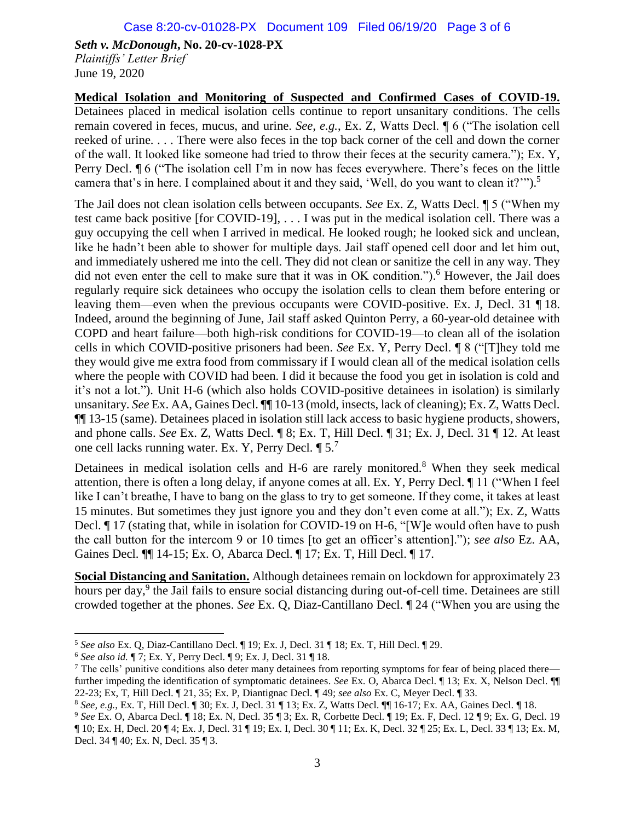**Medical Isolation and Monitoring of Suspected and Confirmed Cases of COVID-19.**  Detainees placed in medical isolation cells continue to report unsanitary conditions. The cells remain covered in feces, mucus, and urine. *See, e.g.*, Ex. Z, Watts Decl. ¶ 6 ("The isolation cell reeked of urine. . . . There were also feces in the top back corner of the cell and down the corner of the wall. It looked like someone had tried to throw their feces at the security camera."); Ex. Y, Perry Decl. ¶ 6 ("The isolation cell I'm in now has feces everywhere. There's feces on the little camera that's in here. I complained about it and they said, 'Well, do you want to clean it?'").<sup>5</sup>

The Jail does not clean isolation cells between occupants. *See* Ex. Z, Watts Decl. ¶ 5 ("When my test came back positive [for COVID-19], . . . I was put in the medical isolation cell. There was a guy occupying the cell when I arrived in medical. He looked rough; he looked sick and unclean, like he hadn't been able to shower for multiple days. Jail staff opened cell door and let him out, and immediately ushered me into the cell. They did not clean or sanitize the cell in any way. They did not even enter the cell to make sure that it was in OK condition."). <sup>6</sup> However, the Jail does regularly require sick detainees who occupy the isolation cells to clean them before entering or leaving them—even when the previous occupants were COVID-positive. Ex. J, Decl. 31 ¶ 18. Indeed, around the beginning of June, Jail staff asked Quinton Perry, a 60-year-old detainee with COPD and heart failure—both high-risk conditions for COVID-19—to clean all of the isolation cells in which COVID-positive prisoners had been. *See* Ex. Y, Perry Decl. ¶ 8 ("[T]hey told me they would give me extra food from commissary if I would clean all of the medical isolation cells where the people with COVID had been. I did it because the food you get in isolation is cold and it's not a lot."). Unit H-6 (which also holds COVID-positive detainees in isolation) is similarly unsanitary. *See* Ex. AA, Gaines Decl. ¶¶ 10-13 (mold, insects, lack of cleaning); Ex. Z, Watts Decl. ¶¶ 13-15 (same). Detainees placed in isolation still lack access to basic hygiene products, showers, and phone calls. *See* Ex. Z, Watts Decl. ¶ 8; Ex. T, Hill Decl. ¶ 31; Ex. J, Decl. 31 ¶ 12. At least one cell lacks running water. Ex. Y, Perry Decl. ¶ 5.<sup>7</sup>

Detainees in medical isolation cells and H-6 are rarely monitored.<sup>8</sup> When they seek medical attention, there is often a long delay, if anyone comes at all. Ex. Y, Perry Decl. ¶ 11 ("When I feel like I can't breathe, I have to bang on the glass to try to get someone. If they come, it takes at least 15 minutes. But sometimes they just ignore you and they don't even come at all."); Ex. Z, Watts Decl. ¶ 17 (stating that, while in isolation for COVID-19 on H-6, "[W]e would often have to push the call button for the intercom 9 or 10 times [to get an officer's attention]."); *see also* Ez. AA, Gaines Decl. ¶¶ 14-15; Ex. O, Abarca Decl. ¶ 17; Ex. T, Hill Decl. ¶ 17.

**Social Distancing and Sanitation.** Although detainees remain on lockdown for approximately 23 hours per day,<sup>9</sup> the Jail fails to ensure social distancing during out-of-cell time. Detainees are still crowded together at the phones. *See* Ex. Q, Diaz-Cantillano Decl. ¶ 24 ("When you are using the

 $\overline{\phantom{a}}$ 

<sup>5</sup> *See also* Ex. Q, Diaz-Cantillano Decl. ¶ 19; Ex. J, Decl. 31 ¶ 18; Ex. T, Hill Decl. ¶ 29.

<sup>6</sup> *See also id.* ¶ 7; Ex. Y, Perry Decl. ¶ 9; Ex. J, Decl. 31 ¶ 18.

 $<sup>7</sup>$  The cells' punitive conditions also deter many detainees from reporting symptoms for fear of being placed there—</sup> further impeding the identification of symptomatic detainees. *See* Ex. O, Abarca Decl. ¶ 13; Ex. X, Nelson Decl. ¶ 22-23; Ex, T, Hill Decl. ¶ 21, 35; Ex. P, Diantignac Decl. ¶ 49; *see also* Ex. C, Meyer Decl. ¶ 33.

<sup>8</sup> *See, e.g.*, Ex. T, Hill Decl. ¶ 30; Ex. J, Decl. 31 ¶ 13; Ex. Z, Watts Decl. ¶¶ 16-17; Ex. AA, Gaines Decl. ¶ 18.

<sup>9</sup> *See* Ex. O, Abarca Decl. ¶ 18; Ex. N, Decl. 35 ¶ 3; Ex. R, Corbette Decl. ¶ 19; Ex. F, Decl. 12 ¶ 9; Ex. G, Decl. 19 ¶ 10; Ex. H, Decl. 20 ¶ 4; Ex. J, Decl. 31 ¶ 19; Ex. I, Decl. 30 ¶ 11; Ex. K, Decl. 32 ¶ 25; Ex. L, Decl. 33 ¶ 13; Ex. M, Decl. 34 ¶ 40; Ex. N, Decl. 35 ¶ 3.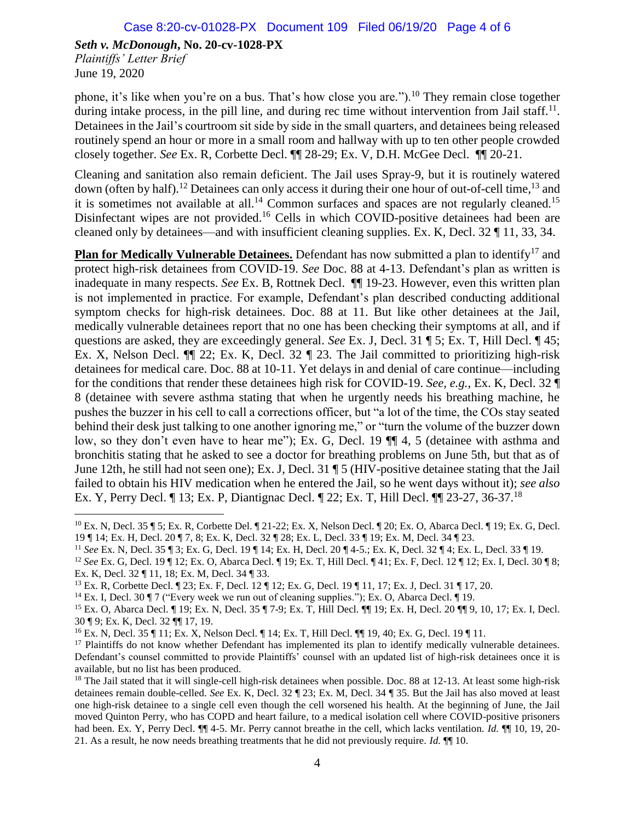June 19, 2020

phone, it's like when you're on a bus. That's how close you are.").<sup>10</sup> They remain close together during intake process, in the pill line, and during rec time without intervention from Jail staff.<sup>11</sup>. Detainees in the Jail's courtroom sit side by side in the small quarters, and detainees being released routinely spend an hour or more in a small room and hallway with up to ten other people crowded closely together. *See* Ex. R, Corbette Decl. ¶¶ 28-29; Ex. V, D.H. McGee Decl. ¶¶ 20-21.

Cleaning and sanitation also remain deficient. The Jail uses Spray-9, but it is routinely watered down (often by half).<sup>12</sup> Detainees can only access it during their one hour of out-of-cell time,<sup>13</sup> and it is sometimes not available at all.<sup>14</sup> Common surfaces and spaces are not regularly cleaned.<sup>15</sup> Disinfectant wipes are not provided.<sup>16</sup> Cells in which COVID-positive detainees had been are cleaned only by detainees—and with insufficient cleaning supplies. Ex. K, Decl. 32 ¶ 11, 33, 34.

**Plan for Medically Vulnerable Detainees.** Defendant has now submitted a plan to identify<sup>17</sup> and protect high-risk detainees from COVID-19. *See* Doc. 88 at 4-13. Defendant's plan as written is inadequate in many respects. *See* Ex. B, Rottnek Decl. ¶¶ 19-23. However, even this written plan is not implemented in practice. For example, Defendant's plan described conducting additional symptom checks for high-risk detainees. Doc. 88 at 11. But like other detainees at the Jail, medically vulnerable detainees report that no one has been checking their symptoms at all, and if questions are asked, they are exceedingly general. *See* Ex. J, Decl. 31 ¶ 5; Ex. T, Hill Decl. ¶ 45; Ex. X, Nelson Decl. ¶¶ 22; Ex. K, Decl. 32 ¶ 23. The Jail committed to prioritizing high-risk detainees for medical care. Doc. 88 at 10-11. Yet delays in and denial of care continue—including for the conditions that render these detainees high risk for COVID-19. *See, e.g.*, Ex. K, Decl. 32 ¶ 8 (detainee with severe asthma stating that when he urgently needs his breathing machine, he pushes the buzzer in his cell to call a corrections officer, but "a lot of the time, the COs stay seated behind their desk just talking to one another ignoring me," or "turn the volume of the buzzer down low, so they don't even have to hear me"); Ex. G, Decl. 19  $\P$  4, 5 (detainee with asthma and bronchitis stating that he asked to see a doctor for breathing problems on June 5th, but that as of June 12th, he still had not seen one); Ex. J, Decl. 31 ¶ 5 (HIV-positive detainee stating that the Jail failed to obtain his HIV medication when he entered the Jail, so he went days without it); *see also*  Ex. Y, Perry Decl. ¶ 13; Ex. P, Diantignac Decl. ¶ 22; Ex. T, Hill Decl. ¶¶ 23-27, 36-37.<sup>18</sup>

 $\overline{\phantom{a}}$ <sup>10</sup> Ex. N, Decl. 35 ¶ 5; Ex. R, Corbette Del. ¶ 21-22; Ex. X, Nelson Decl. ¶ 20; Ex. O, Abarca Decl. ¶ 19; Ex. G, Decl. 19 ¶ 14; Ex. H, Decl. 20 ¶ 7, 8; Ex. K, Decl. 32 ¶ 28; Ex. L, Decl. 33 ¶ 19; Ex. M, Decl. 34 ¶ 23.

<sup>11</sup> *See* Ex. N, Decl. 35 ¶ 3; Ex. G, Decl. 19 ¶ 14; Ex. H, Decl. 20 ¶ 4-5.; Ex. K, Decl. 32 ¶ 4; Ex. L, Decl. 33 ¶ 19.

<sup>12</sup> *See* Ex. G, Decl. 19 ¶ 12; Ex. O, Abarca Decl. ¶ 19; Ex. T, Hill Decl. ¶ 41; Ex. F, Decl. 12 ¶ 12; Ex. I, Decl. 30 ¶ 8; Ex. K, Decl. 32 ¶ 11, 18; Ex. M, Decl. 34 ¶ 33.

<sup>13</sup> Ex. R, Corbette Decl. ¶ 23; Ex. F, Decl. 12 ¶ 12; Ex. G, Decl. 19 ¶ 11, 17; Ex. J, Decl. 31 ¶ 17, 20.

<sup>14</sup> Ex. I, Decl. 30 ¶ 7 ("Every week we run out of cleaning supplies."); Ex. O, Abarca Decl. ¶ 19.

<sup>15</sup> Ex. O, Abarca Decl. ¶ 19; Ex. N, Decl. 35 ¶ 7-9; Ex. T, Hill Decl. ¶¶ 19; Ex. H, Decl. 20 ¶¶ 9, 10, 17; Ex. I, Decl. 30 ¶ 9; Ex. K, Decl. 32 ¶¶ 17, 19.

<sup>16</sup> Ex. N, Decl. 35 ¶ 11; Ex. X, Nelson Decl. ¶ 14; Ex. T, Hill Decl. ¶¶ 19, 40; Ex. G, Decl. 19 ¶ 11.

<sup>&</sup>lt;sup>17</sup> Plaintiffs do not know whether Defendant has implemented its plan to identify medically vulnerable detainees. Defendant's counsel committed to provide Plaintiffs' counsel with an updated list of high-risk detainees once it is available, but no list has been produced.

 $18$  The Jail stated that it will single-cell high-risk detainees when possible. Doc. 88 at 12-13. At least some high-risk detainees remain double-celled. *See* Ex. K, Decl. 32 ¶ 23; Ex. M, Decl. 34 ¶ 35. But the Jail has also moved at least one high-risk detainee to a single cell even though the cell worsened his health. At the beginning of June, the Jail moved Quinton Perry, who has COPD and heart failure, to a medical isolation cell where COVID-positive prisoners had been. Ex. Y, Perry Decl. ¶¶ 4-5. Mr. Perry cannot breathe in the cell, which lacks ventilation. *Id.* ¶¶ 10, 19, 20- 21. As a result, he now needs breathing treatments that he did not previously require. *Id.* ¶¶ 10.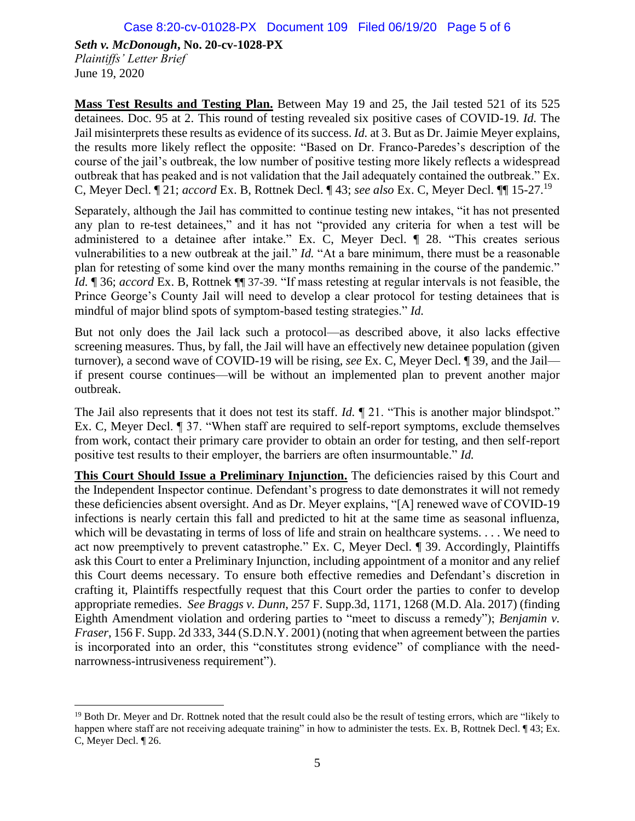**Mass Test Results and Testing Plan.** Between May 19 and 25, the Jail tested 521 of its 525 detainees. Doc. 95 at 2. This round of testing revealed six positive cases of COVID-19. *Id.* The Jail misinterprets these results as evidence of its success. *Id.* at 3. But as Dr. Jaimie Meyer explains, the results more likely reflect the opposite: "Based on Dr. Franco-Paredes's description of the course of the jail's outbreak, the low number of positive testing more likely reflects a widespread outbreak that has peaked and is not validation that the Jail adequately contained the outbreak." Ex. C, Meyer Decl. ¶ 21; *accord* Ex. B, Rottnek Decl. ¶ 43; *see also* Ex. C, Meyer Decl. ¶¶ 15-27.<sup>19</sup>

Separately, although the Jail has committed to continue testing new intakes, "it has not presented any plan to re-test detainees," and it has not "provided any criteria for when a test will be administered to a detainee after intake." Ex. C, Meyer Decl. ¶ 28. "This creates serious vulnerabilities to a new outbreak at the jail." *Id.* "At a bare minimum, there must be a reasonable plan for retesting of some kind over the many months remaining in the course of the pandemic." *Id.* ¶ 36; *accord* Ex. B, Rottnek ¶¶ 37-39. "If mass retesting at regular intervals is not feasible, the Prince George's County Jail will need to develop a clear protocol for testing detainees that is mindful of major blind spots of symptom-based testing strategies." *Id.* 

But not only does the Jail lack such a protocol—as described above, it also lacks effective screening measures. Thus, by fall, the Jail will have an effectively new detainee population (given turnover), a second wave of COVID-19 will be rising, *see* Ex. C, Meyer Decl. ¶ 39, and the Jail if present course continues—will be without an implemented plan to prevent another major outbreak.

The Jail also represents that it does not test its staff. *Id.*  $\P$  21. "This is another major blindspot." Ex. C, Meyer Decl. ¶ 37. "When staff are required to self-report symptoms, exclude themselves from work, contact their primary care provider to obtain an order for testing, and then self-report positive test results to their employer, the barriers are often insurmountable." *Id.* 

**This Court Should Issue a Preliminary Injunction.** The deficiencies raised by this Court and the Independent Inspector continue. Defendant's progress to date demonstrates it will not remedy these deficiencies absent oversight. And as Dr. Meyer explains, "[A] renewed wave of COVID-19 infections is nearly certain this fall and predicted to hit at the same time as seasonal influenza, which will be devastating in terms of loss of life and strain on healthcare systems. . . . We need to act now preemptively to prevent catastrophe." Ex. C, Meyer Decl. ¶ 39. Accordingly, Plaintiffs ask this Court to enter a Preliminary Injunction, including appointment of a monitor and any relief this Court deems necessary. To ensure both effective remedies and Defendant's discretion in crafting it, Plaintiffs respectfully request that this Court order the parties to confer to develop appropriate remedies. *See Braggs v. Dunn*, 257 F. Supp.3d, 1171, 1268 (M.D. Ala. 2017) (finding Eighth Amendment violation and ordering parties to "meet to discuss a remedy"); *Benjamin v. Fraser*, 156 F. Supp. 2d 333, 344 (S.D.N.Y. 2001) (noting that when agreement between the parties is incorporated into an order, this "constitutes strong evidence" of compliance with the neednarrowness-intrusiveness requirement").

 $\overline{\phantom{a}}$ <sup>19</sup> Both Dr. Meyer and Dr. Rottnek noted that the result could also be the result of testing errors, which are "likely to happen where staff are not receiving adequate training" in how to administer the tests. Ex. B, Rottnek Decl. ¶ 43; Ex. C, Meyer Decl. ¶ 26.